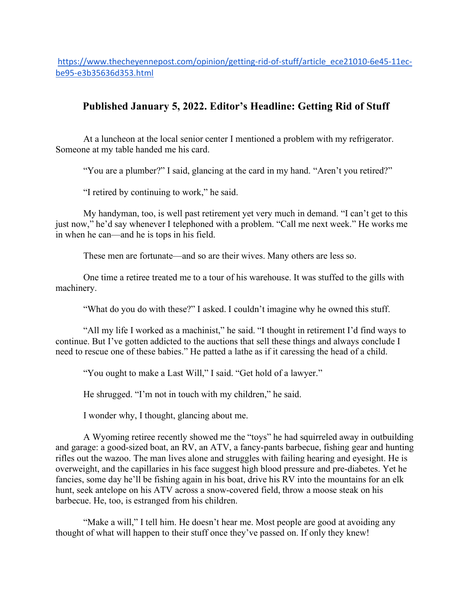https://www.thecheyennepost.com/opinion/getting-rid-of-stuff/article\_ece21010-6e45-11ecbe95-e3b35636d353.html

## **Published January 5, 2022. Editor's Headline: Getting Rid of Stuff**

At a luncheon at the local senior center I mentioned a problem with my refrigerator. Someone at my table handed me his card.

"You are a plumber?" I said, glancing at the card in my hand. "Aren't you retired?"

"I retired by continuing to work," he said.

My handyman, too, is well past retirement yet very much in demand. "I can't get to this just now," he'd say whenever I telephoned with a problem. "Call me next week." He works me in when he can—and he is tops in his field.

These men are fortunate—and so are their wives. Many others are less so.

One time a retiree treated me to a tour of his warehouse. It was stuffed to the gills with machinery.

"What do you do with these?" I asked. I couldn't imagine why he owned this stuff.

"All my life I worked as a machinist," he said. "I thought in retirement I'd find ways to continue. But I've gotten addicted to the auctions that sell these things and always conclude I need to rescue one of these babies." He patted a lathe as if it caressing the head of a child.

"You ought to make a Last Will," I said. "Get hold of a lawyer."

He shrugged. "I'm not in touch with my children," he said.

I wonder why, I thought, glancing about me.

A Wyoming retiree recently showed me the "toys" he had squirreled away in outbuilding and garage: a good-sized boat, an RV, an ATV, a fancy-pants barbecue, fishing gear and hunting rifles out the wazoo. The man lives alone and struggles with failing hearing and eyesight. He is overweight, and the capillaries in his face suggest high blood pressure and pre-diabetes. Yet he fancies, some day he'll be fishing again in his boat, drive his RV into the mountains for an elk hunt, seek antelope on his ATV across a snow-covered field, throw a moose steak on his barbecue. He, too, is estranged from his children.

"Make a will," I tell him. He doesn't hear me. Most people are good at avoiding any thought of what will happen to their stuff once they've passed on. If only they knew!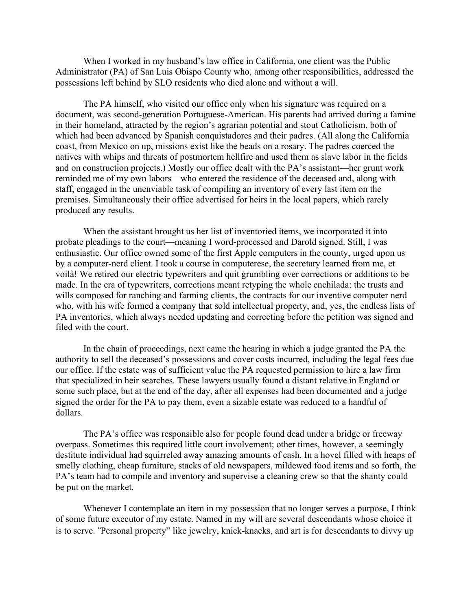When I worked in my husband's law office in California, one client was the Public Administrator (PA) of San Luis Obispo County who, among other responsibilities, addressed the possessions left behind by SLO residents who died alone and without a will.

The PA himself, who visited our office only when his signature was required on a document, was second-generation Portuguese-American. His parents had arrived during a famine in their homeland, attracted by the region's agrarian potential and stout Catholicism, both of which had been advanced by Spanish conquistadores and their padres. (All along the California coast, from Mexico on up, missions exist like the beads on a rosary. The padres coerced the natives with whips and threats of postmortem hellfire and used them as slave labor in the fields and on construction projects.) Mostly our office dealt with the PA's assistant—her grunt work reminded me of my own labors—who entered the residence of the deceased and, along with staff, engaged in the unenviable task of compiling an inventory of every last item on the premises. Simultaneously their office advertised for heirs in the local papers, which rarely produced any results.

When the assistant brought us her list of inventoried items, we incorporated it into probate pleadings to the court—meaning I word-processed and Darold signed. Still, I was enthusiastic. Our office owned some of the first Apple computers in the county, urged upon us by a computer-nerd client. I took a course in computerese, the secretary learned from me, et voilà! We retired our electric typewriters and quit grumbling over corrections or additions to be made. In the era of typewriters, corrections meant retyping the whole enchilada: the trusts and wills composed for ranching and farming clients, the contracts for our inventive computer nerd who, with his wife formed a company that sold intellectual property, and, yes, the endless lists of PA inventories, which always needed updating and correcting before the petition was signed and filed with the court.

In the chain of proceedings, next came the hearing in which a judge granted the PA the authority to sell the deceased's possessions and cover costs incurred, including the legal fees due our office. If the estate was of sufficient value the PA requested permission to hire a law firm that specialized in heir searches. These lawyers usually found a distant relative in England or some such place, but at the end of the day, after all expenses had been documented and a judge signed the order for the PA to pay them, even a sizable estate was reduced to a handful of dollars.

The PA's office was responsible also for people found dead under a bridge or freeway overpass. Sometimes this required little court involvement; other times, however, a seemingly destitute individual had squirreled away amazing amounts of cash. In a hovel filled with heaps of smelly clothing, cheap furniture, stacks of old newspapers, mildewed food items and so forth, the PA's team had to compile and inventory and supervise a cleaning crew so that the shanty could be put on the market.

Whenever I contemplate an item in my possession that no longer serves a purpose, I think of some future executor of my estate. Named in my will are several descendants whose choice it is to serve. "Personal property" like jewelry, knick-knacks, and art is for descendants to divvy up